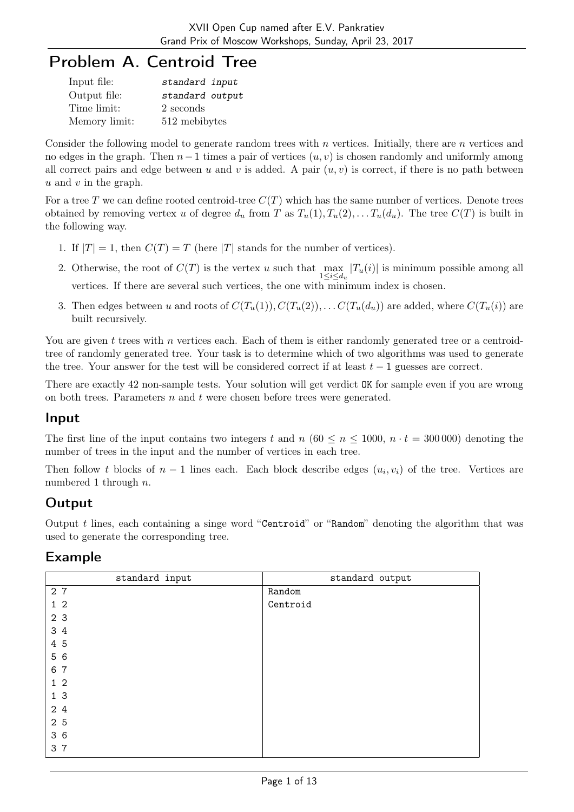## Problem A. Centroid Tree

| Input file:   | standard input  |
|---------------|-----------------|
| Output file:  | standard output |
| Time limit:   | 2 seconds       |
| Memory limit: | 512 mebibytes   |

Consider the following model to generate random trees with n vertices. Initially, there are n vertices and no edges in the graph. Then  $n-1$  times a pair of vertices  $(u, v)$  is chosen randomly and uniformly among all correct pairs and edge between u and v is added. A pair  $(u, v)$  is correct, if there is no path between  $u$  and  $v$  in the graph.

For a tree T we can define rooted centroid-tree  $C(T)$  which has the same number of vertices. Denote trees obtained by removing vertex u of degree  $d_u$  from T as  $T_u(1), T_u(2), \ldots, T_u(d_u)$ . The tree  $C(T)$  is built in the following way.

- 1. If  $|T| = 1$ , then  $C(T) = T$  (here  $|T|$  stands for the number of vertices).
- 2. Otherwise, the root of  $C(T)$  is the vertex u such that  $\max_{1 \leq i \leq d_u} |T_u(i)|$  is minimum possible among all vertices. If there are several such vertices, the one with minimum index is chosen.
- 3. Then edges between u and roots of  $C(T_u(1)), C(T_u(2)), \ldots C(T_u(d_u))$  are added, where  $C(T_u(i))$  are built recursively.

You are given t trees with n vertices each. Each of them is either randomly generated tree or a centroidtree of randomly generated tree. Your task is to determine which of two algorithms was used to generate the tree. Your answer for the test will be considered correct if at least  $t - 1$  guesses are correct.

There are exactly 42 non-sample tests. Your solution will get verdict OK for sample even if you are wrong on both trees. Parameters  $n$  and  $t$  were chosen before trees were generated.

#### Input

The first line of the input contains two integers t and n (60  $\leq n \leq 1000$ ,  $n \cdot t = 300000$ ) denoting the number of trees in the input and the number of vertices in each tree.

Then follow t blocks of  $n-1$  lines each. Each block describe edges  $(u_i, v_i)$  of the tree. Vertices are numbered 1 through n.

## **Output**

Output  $t$  lines, each containing a singe word "Centroid" or "Random" denoting the algorithm that was used to generate the corresponding tree.

| standard input | standard output |
|----------------|-----------------|
| 27             | Random          |
| 1 <sub>2</sub> | Centroid        |
| 2 3            |                 |
| 3 4            |                 |
| 4 5            |                 |
| 5 6            |                 |
| 6 7            |                 |
| 1 <sub>2</sub> |                 |
| 1 <sub>3</sub> |                 |
| 24             |                 |
| 2 5            |                 |
| 36             |                 |
| 3 7            |                 |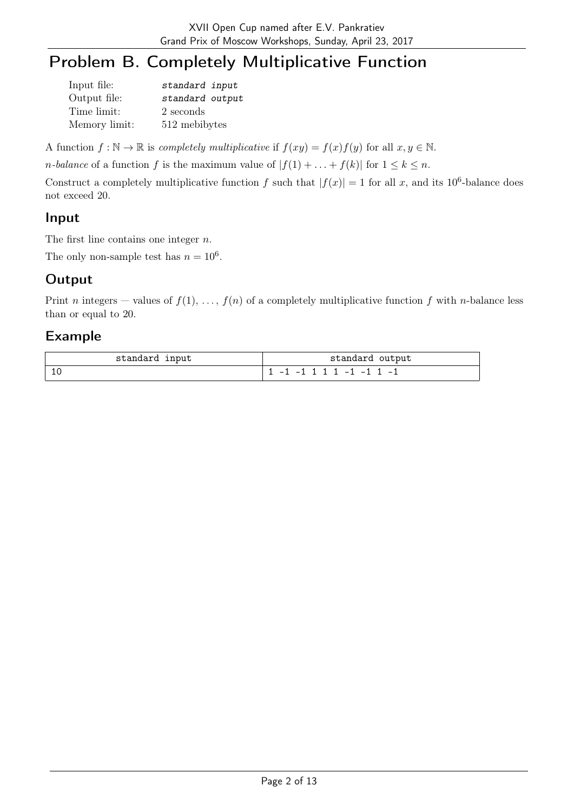# Problem B. Completely Multiplicative Function

| Input file:   | standard input  |
|---------------|-----------------|
| Output file:  | standard output |
| Time limit:   | 2 seconds       |
| Memory limit: | 512 mebibytes   |

A function  $f : \mathbb{N} \to \mathbb{R}$  is *completely multiplicative* if  $f(xy) = f(x)f(y)$  for all  $x, y \in \mathbb{N}$ .

*n*-balance of a function f is the maximum value of  $|f(1) + ... + f(k)|$  for  $1 \leq k \leq n$ .

Construct a completely multiplicative function f such that  $|f(x)| = 1$  for all x, and its 10<sup>6</sup>-balance does not exceed 20.

#### Input

The first line contains one integer  $n$ .

The only non-sample test has  $n = 10^6$ .

## **Output**

Print n integers – values of  $f(1), \ldots, f(n)$  of a completely multiplicative function f with n-balance less than or equal to 20.

| standard input | standard output                   |
|----------------|-----------------------------------|
|                | $1 1 - 1 - 1 1 1 1 - 1 - 1 1 - 1$ |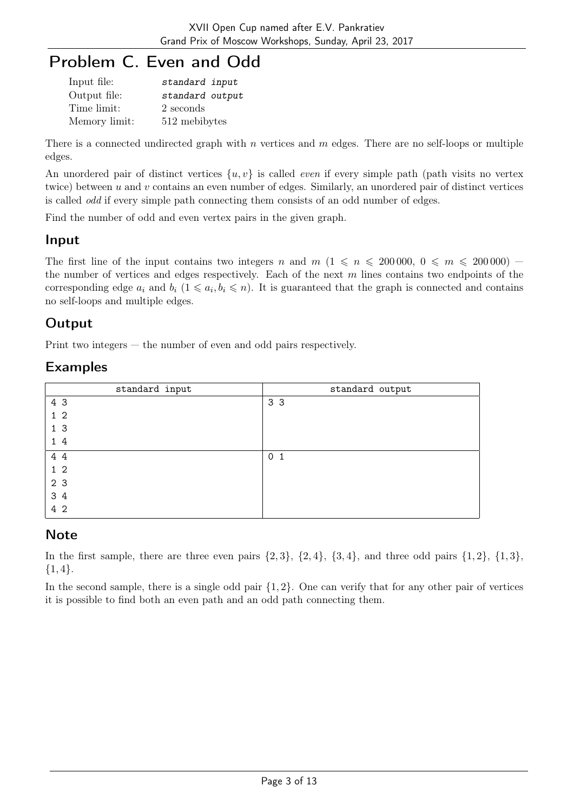## Problem C. Even and Odd

| Input file:   | standard input  |
|---------------|-----------------|
| Output file:  | standard output |
| Time limit:   | 2 seconds       |
| Memory limit: | 512 mebibytes   |

There is a connected undirected graph with  $n$  vertices and  $m$  edges. There are no self-loops or multiple edges.

An unordered pair of distinct vertices  $\{u, v\}$  is called *even* if every simple path (path visits no vertex twice) between  $u$  and  $v$  contains an even number of edges. Similarly, an unordered pair of distinct vertices is called odd if every simple path connecting them consists of an odd number of edges.

Find the number of odd and even vertex pairs in the given graph.

#### Input

The first line of the input contains two integers n and  $m$   $(1 \leq n \leq 200000, 0 \leq m \leq 200000)$  – the number of vertices and edges respectively. Each of the next  $m$  lines contains two endpoints of the corresponding edge  $a_i$  and  $b_i$   $(1 \leq a_i, b_i \leq n)$ . It is guaranteed that the graph is connected and contains no self-loops and multiple edges.

### **Output**

Print two integers — the number of even and odd pairs respectively.

#### Examples

| standard input | standard output |
|----------------|-----------------|
| 4 3            | 3 <sub>3</sub>  |
| 1 <sub>2</sub> |                 |
| 1 <sub>3</sub> |                 |
| 14             |                 |
| 4 4            | 0 <sub>1</sub>  |
| 1 <sub>2</sub> |                 |
| 2 3            |                 |
| 3 4            |                 |
| 4 2            |                 |

#### Note

In the first sample, there are three even pairs  $\{2,3\}$ ,  $\{2,4\}$ ,  $\{3,4\}$ , and three odd pairs  $\{1,2\}$ ,  $\{1,3\}$ ,  ${1,4}.$ 

In the second sample, there is a single odd pair  $\{1, 2\}$ . One can verify that for any other pair of vertices it is possible to find both an even path and an odd path connecting them.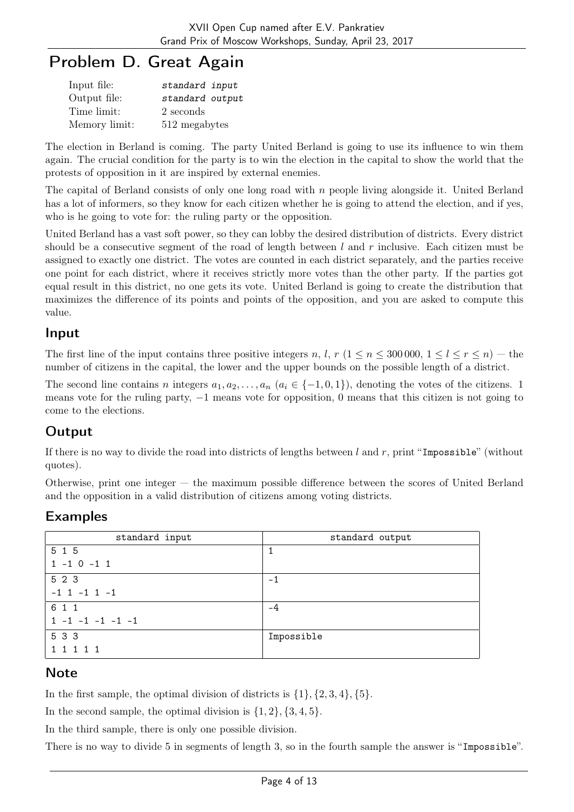## Problem D. Great Again

| Input file:   | standard input  |
|---------------|-----------------|
| Output file:  | standard output |
| Time limit:   | 2 seconds       |
| Memory limit: | 512 megabytes   |

The election in Berland is coming. The party United Berland is going to use its influence to win them again. The crucial condition for the party is to win the election in the capital to show the world that the protests of opposition in it are inspired by external enemies.

The capital of Berland consists of only one long road with n people living alongside it. United Berland has a lot of informers, so they know for each citizen whether he is going to attend the election, and if yes, who is he going to vote for: the ruling party or the opposition.

United Berland has a vast soft power, so they can lobby the desired distribution of districts. Every district should be a consecutive segment of the road of length between  $l$  and  $r$  inclusive. Each citizen must be assigned to exactly one district. The votes are counted in each district separately, and the parties receive one point for each district, where it receives strictly more votes than the other party. If the parties got equal result in this district, no one gets its vote. United Berland is going to create the distribution that maximizes the difference of its points and points of the opposition, and you are asked to compute this value.

#### Input

The first line of the input contains three positive integers n, l, r  $(1 \le n \le 300000, 1 \le l \le r \le n)$  — the number of citizens in the capital, the lower and the upper bounds on the possible length of a district.

The second line contains n integers  $a_1, a_2, \ldots, a_n$   $(a_i \in \{-1, 0, 1\})$ , denoting the votes of the citizens. 1 means vote for the ruling party, −1 means vote for opposition, 0 means that this citizen is not going to come to the elections.

## Output

If there is no way to divide the road into districts of lengths between  $l$  and  $r$ , print "Impossible" (without quotes).

Otherwise, print one integer — the maximum possible difference between the scores of United Berland and the opposition in a valid distribution of citizens among voting districts.

## Examples

| standard input          | standard output |
|-------------------------|-----------------|
| 5 1 5                   |                 |
| $1 - 1 0 - 1 1$         |                 |
| 5 2 3                   | -1              |
| $-1$ 1 $-1$ 1 $-1$      |                 |
| 6 1 1                   | -4              |
| $1 - 1 - 1 - 1 - 1 - 1$ |                 |
| 5 3 3                   | Impossible      |
| 1 1 1 1 1               |                 |

## **Note**

In the first sample, the optimal division of districts is  $\{1\}$ ,  $\{2, 3, 4\}$ ,  $\{5\}$ .

In the second sample, the optimal division is  $\{1, 2\}, \{3, 4, 5\}.$ 

In the third sample, there is only one possible division.

There is no way to divide 5 in segments of length 3, so in the fourth sample the answer is "Impossible".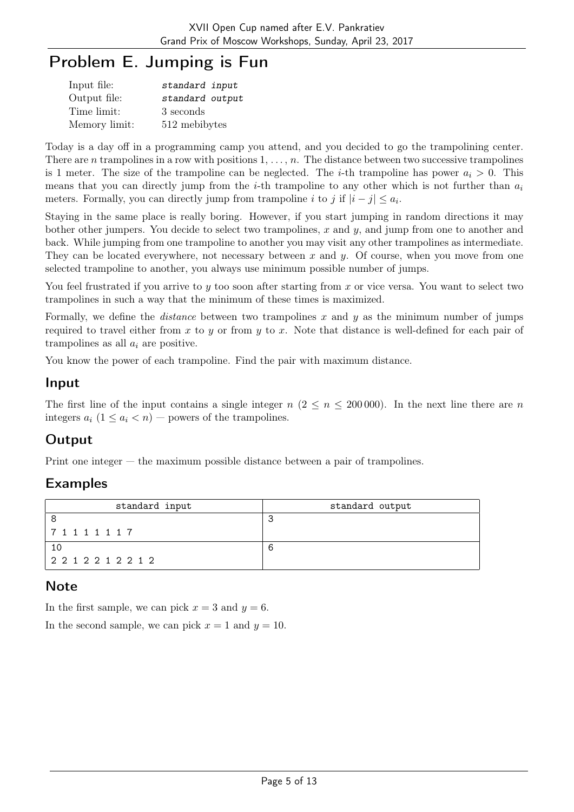# Problem E. Jumping is Fun

| Input file:   | standard input  |
|---------------|-----------------|
| Output file:  | standard output |
| Time limit:   | 3 seconds       |
| Memory limit: | 512 mebibytes   |

Today is a day off in a programming camp you attend, and you decided to go the trampolining center. There are n trampolines in a row with positions  $1, \ldots, n$ . The distance between two successive trampolines is 1 meter. The size of the trampoline can be neglected. The *i*-th trampoline has power  $a_i > 0$ . This means that you can directly jump from the *i*-th trampoline to any other which is not further than  $a_i$ meters. Formally, you can directly jump from trampoline i to j if  $|i - j| \le a_i$ .

Staying in the same place is really boring. However, if you start jumping in random directions it may bother other jumpers. You decide to select two trampolines, x and  $y$ , and jump from one to another and back. While jumping from one trampoline to another you may visit any other trampolines as intermediate. They can be located everywhere, not necessary between x and  $y$ . Of course, when you move from one selected trampoline to another, you always use minimum possible number of jumps.

You feel frustrated if you arrive to y too soon after starting from x or vice versa. You want to select two trampolines in such a way that the minimum of these times is maximized.

Formally, we define the *distance* between two trampolines x and y as the minimum number of jumps required to travel either from x to y or from y to x. Note that distance is well-defined for each pair of trampolines as all  $a_i$  are positive.

You know the power of each trampoline. Find the pair with maximum distance.

#### Input

The first line of the input contains a single integer  $n (2 \leq n \leq 200000)$ . In the next line there are n integers  $a_i$   $(1 \le a_i < n)$  – powers of the trampolines.

## **Output**

Print one integer — the maximum possible distance between a pair of trampolines.

## Examples

| standard input | standard output |
|----------------|-----------------|
|                |                 |
| 71111117       |                 |
|                |                 |
| 2212212212     |                 |

#### **Note**

In the first sample, we can pick  $x = 3$  and  $y = 6$ .

In the second sample, we can pick  $x = 1$  and  $y = 10$ .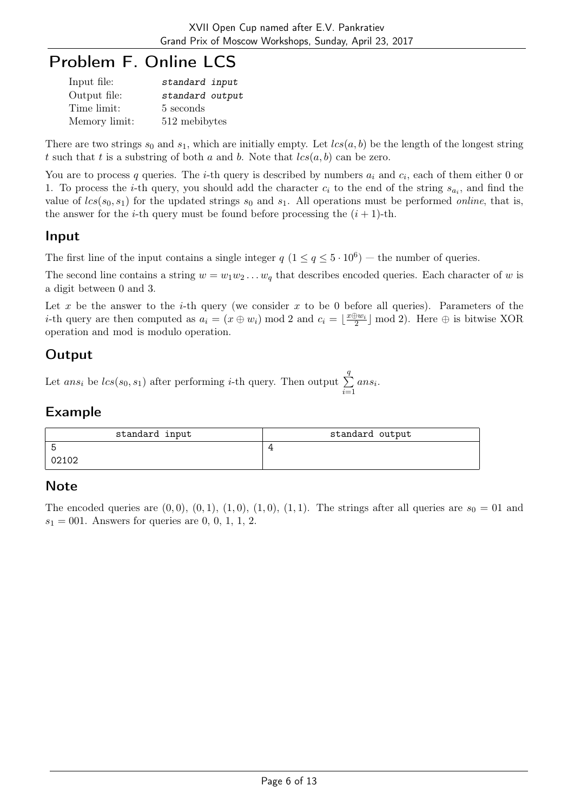## Problem F. Online LCS

| Input file:   | standard input  |
|---------------|-----------------|
| Output file:  | standard output |
| Time limit:   | 5 seconds       |
| Memory limit: | 512 mebibytes   |

There are two strings  $s_0$  and  $s_1$ , which are initially empty. Let  $lcs(a, b)$  be the length of the longest string t such that t is a substring of both a and b. Note that  $lcs(a, b)$  can be zero.

You are to process q queries. The *i*-th query is described by numbers  $a_i$  and  $c_i$ , each of them either 0 or 1. To process the *i*-th query, you should add the character  $c_i$  to the end of the string  $s_{a_i}$ , and find the value of  $lcs(s_0, s_1)$  for the updated strings  $s_0$  and  $s_1$ . All operations must be performed *online*, that is, the answer for the *i*-th query must be found before processing the  $(i + 1)$ -th.

#### Input

The first line of the input contains a single integer  $q (1 \le q \le 5 \cdot 10^6)$  – the number of queries.

The second line contains a string  $w = w_1w_2 \ldots w_q$  that describes encoded queries. Each character of w is a digit between 0 and 3.

Let x be the answer to the i-th query (we consider x to be 0 before all queries). Parameters of the *i*-th query are then computed as  $a_i = (x \oplus w_i) \mod 2$  and  $c_i = \lfloor \frac{x \oplus w_i}{2} \rfloor \mod 2$ . Here  $\oplus$  is bitwise XOR operation and mod is modulo operation.

## **Output**

Let  $ans_i$  be  $lcs(s_0, s_1)$  after performing *i*-th query. Then output  $\sum$ q  $i=1$ ans<sup>i</sup> .

#### Example

| standard input | standard output |
|----------------|-----------------|
|                |                 |
| 02102          |                 |

#### **Note**

The encoded queries are  $(0, 0), (0, 1), (1, 0), (1, 0), (1, 1)$ . The strings after all queries are  $s_0 = 01$  and  $s_1 = 001$ . Answers for queries are 0, 0, 1, 1, 2.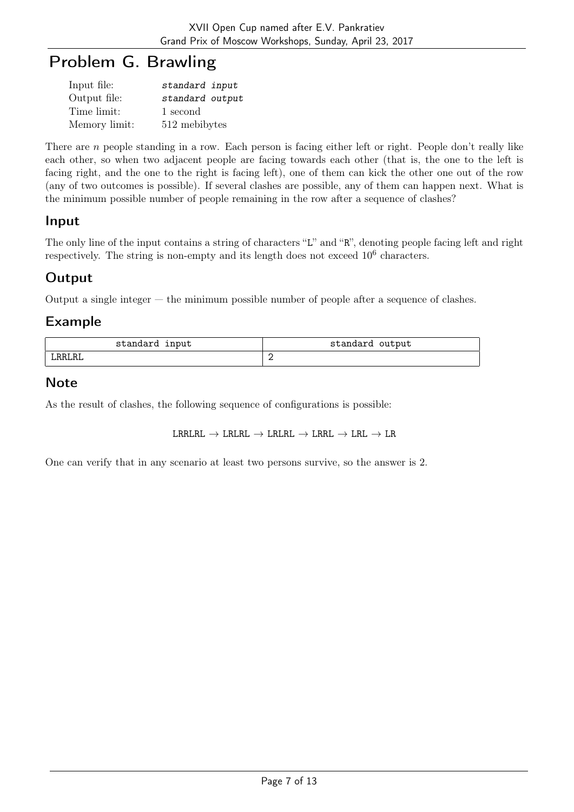## Problem G. Brawling

| Input file:   | standard input  |
|---------------|-----------------|
| Output file:  | standard output |
| Time limit:   | 1 second        |
| Memory limit: | 512 mebibytes   |

There are n people standing in a row. Each person is facing either left or right. People don't really like each other, so when two adjacent people are facing towards each other (that is, the one to the left is facing right, and the one to the right is facing left), one of them can kick the other one out of the row (any of two outcomes is possible). If several clashes are possible, any of them can happen next. What is the minimum possible number of people remaining in the row after a sequence of clashes?

#### Input

The only line of the input contains a string of characters "L" and "R", denoting people facing left and right respectively. The string is non-empty and its length does not exceed  $10^6$  characters.

### **Output**

Output a single integer — the minimum possible number of people after a sequence of clashes.

#### Example

| input<br>standard<br>rangai | standard<br>output |
|-----------------------------|--------------------|
| RRLRL                       | $\sim$<br>∼        |

### Note

As the result of clashes, the following sequence of configurations is possible:

 $\texttt{LRRLRL} \rightarrow \texttt{LRLRL} \rightarrow \texttt{LRLRL} \rightarrow \texttt{LRRL} \rightarrow \texttt{LRL} \rightarrow \texttt{LRL}$ 

One can verify that in any scenario at least two persons survive, so the answer is 2.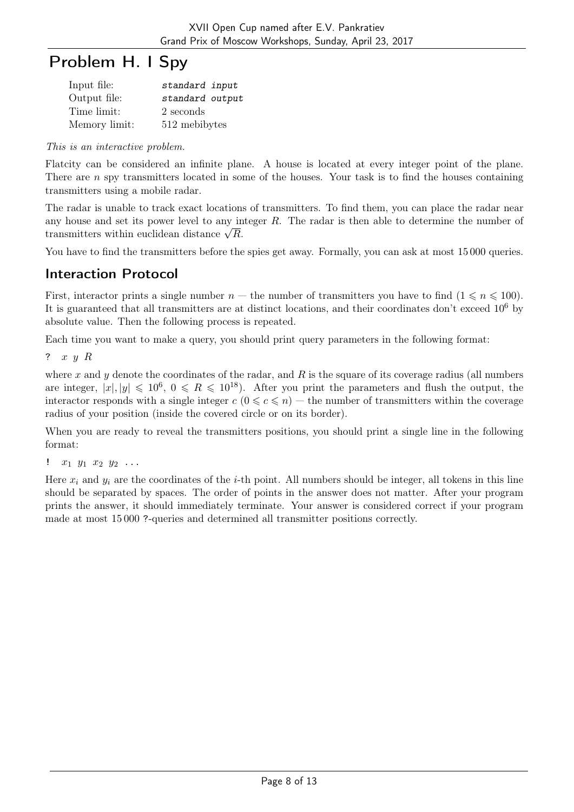## Problem H. I Spy

| Input file:   | standard input  |
|---------------|-----------------|
| Output file:  | standard output |
| Time limit:   | 2 seconds       |
| Memory limit: | 512 mebibytes   |

This is an interactive problem.

Flatcity can be considered an infinite plane. A house is located at every integer point of the plane. There are  $n$  spy transmitters located in some of the houses. Your task is to find the houses containing transmitters using a mobile radar.

The radar is unable to track exact locations of transmitters. To find them, you can place the radar near any house and set its power level to any integer  $R$ . The radar is then able to determine the number of any nouse and set its power level to any m<br>transmitters within euclidean distance  $\sqrt{R}$ .

You have to find the transmitters before the spies get away. Formally, you can ask at most 15000 queries.

## Interaction Protocol

First, interactor prints a single number  $n -$  the number of transmitters you have to find  $(1 \leq n \leq 100)$ . It is guaranteed that all transmitters are at distinct locations, and their coordinates don't exceed 10<sup>6</sup> by absolute value. Then the following process is repeated.

Each time you want to make a query, you should print query parameters in the following format:

? x y R

where x and y denote the coordinates of the radar, and R is the square of its coverage radius (all numbers are integer,  $|x|, |y| \leq 10^6$ ,  $0 \leq R \leq 10^{18}$ ). After you print the parameters and flush the output, the interactor responds with a single integer  $c$  ( $0 \leq c \leq n$ ) — the number of transmitters within the coverage radius of your position (inside the covered circle or on its border).

When you are ready to reveal the transmitters positions, you should print a single line in the following format:

!  $x_1 \, y_1 \, x_2 \, y_2 \, \ldots$ 

Here  $x_i$  and  $y_i$  are the coordinates of the *i*-th point. All numbers should be integer, all tokens in this line should be separated by spaces. The order of points in the answer does not matter. After your program prints the answer, it should immediately terminate. Your answer is considered correct if your program made at most 15 000 ?-queries and determined all transmitter positions correctly.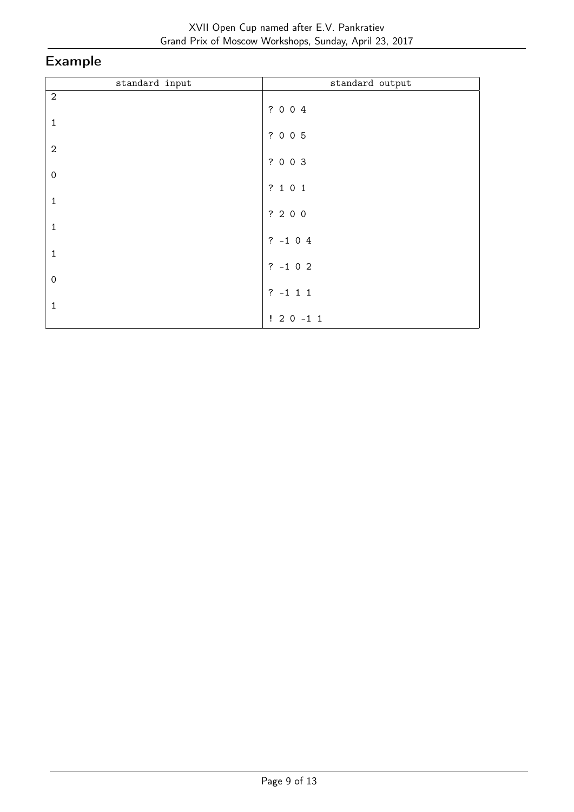| standard input | standard output |
|----------------|-----------------|
| $\sqrt{2}$     | ? 0 0 4         |
| $\mathbf{1}$   |                 |
| $\sqrt{2}$     | ? 0 0 5         |
|                | ? 0 0 3         |
| $\mbox{O}$     | ? 1 0 1         |
| $\mathbf{1}$   | ? 2 0 0         |
| $\mathbf 1$    |                 |
| $\mathbf{1}$   | $? -1 0 4$      |
| $\mathbf 0$    | $? -1 0 2$      |
|                | $? -1 1 1$      |
| $\mathbf{1}$   | $! 2 0 -1 1$    |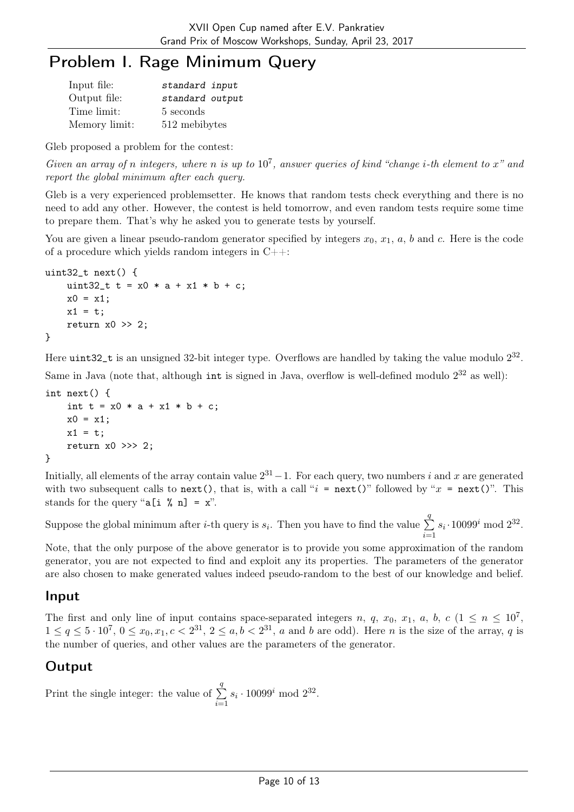## Problem I. Rage Minimum Query

| Input file:   | standard input  |
|---------------|-----------------|
| Output file:  | standard output |
| Time limit:   | 5 seconds       |
| Memory limit: | 512 mebibytes   |

Gleb proposed a problem for the contest:

Given an array of n integers, where n is up to  $10^7$ , answer queries of kind "change *i*-th element to x" and report the global minimum after each query.

Gleb is a very experienced problemsetter. He knows that random tests check everything and there is no need to add any other. However, the contest is held tomorrow, and even random tests require some time to prepare them. That's why he asked you to generate tests by yourself.

You are given a linear pseudo-random generator specified by integers  $x_0, x_1, a, b$  and c. Here is the code of a procedure which yields random integers in C++:

```
uint32_t next() {
    uint32_t t = x0 * a + x1 * b + c;
    x0 = x1;x1 = t;return x0 \gg 2:
}
```
Here uint32<sub>-t</sub> is an unsigned 32-bit integer type. Overflows are handled by taking the value modulo  $2^{32}$ . Same in Java (note that, although  $int$  is signed in Java, overflow is well-defined modulo  $2^{32}$  as well):

```
int next() {
    int t = x0 * a + x1 * b + c;
    x0 = x1;x1 = t;return x0 >>> 2;
}
```
Initially, all elements of the array contain value  $2^{31} - 1$ . For each query, two numbers i and x are generated with two subsequent calls to next(), that is, with a call " $i = \text{next}($ " followed by " $x = \text{next}($ ". This stands for the query " $a[i \; \; \& \; n] = x$ ".

Suppose the global minimum after *i*-th query is  $s_i$ . Then you have to find the value  $\sum$  $\overline{q}$  $i=1$  $s_i \cdot 10099^i \mod 2^{32}$ .

Note, that the only purpose of the above generator is to provide you some approximation of the random generator, you are not expected to find and exploit any its properties. The parameters of the generator are also chosen to make generated values indeed pseudo-random to the best of our knowledge and belief.

#### Input

The first and only line of input contains space-separated integers n, q, x<sub>0</sub>, x<sub>1</sub>, a, b, c ( $1 \le n \le 10^7$ ,  $1 \le q \le 5 \cdot 10^7$ ,  $0 \le x_0, x_1, c < 2^{31}$ ,  $2 \le a, b < 2^{31}$ , a and b are odd). Here n is the size of the array, q is the number of queries, and other values are the parameters of the generator.

#### Output

Print the single integer: the value of  $\Sigma$ q  $i=1$  $s_i \cdot 10099^i \mod 2^{32}$ .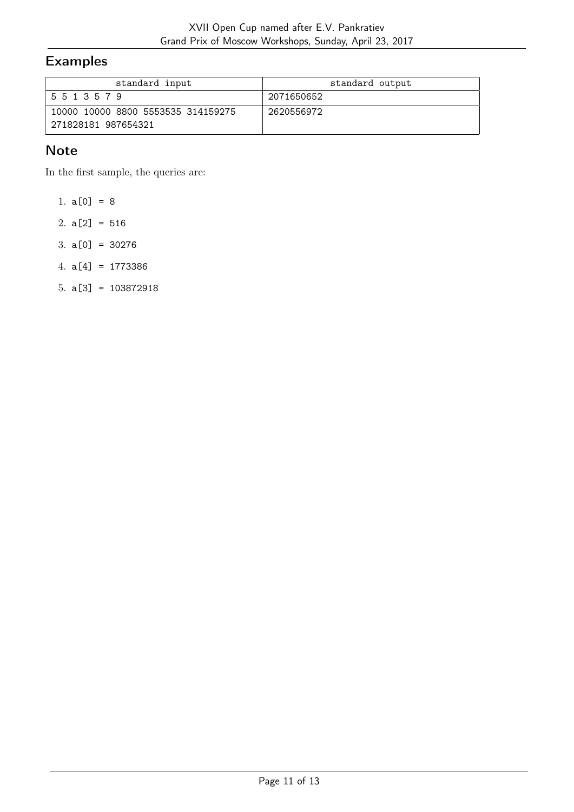## Examples

| standard input                     | standard output |
|------------------------------------|-----------------|
| 5 5 1 3 5 7 9                      | 2071650652      |
| 10000 10000 8800 5553535 314159275 | 2620556972      |
| 271828181 987654321                |                 |

### **Note**

In the first sample, the queries are:

1.  $a[0] = 8$ 

2.  $a[2] = 516$ 

- 3. a[0] = 30276
- 4. a[4] = 1773386
- 5. a[3] = 103872918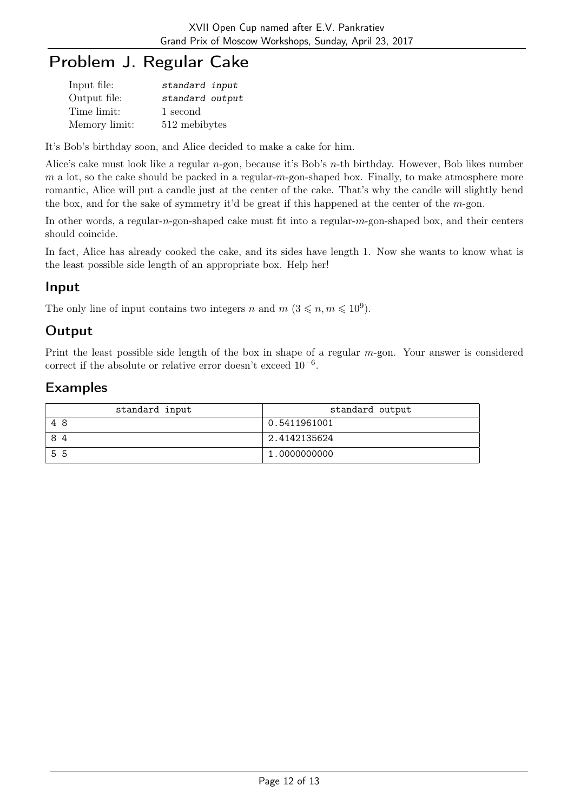# Problem J. Regular Cake

| Input file:   | standard input  |
|---------------|-----------------|
| Output file:  | standard output |
| Time limit:   | 1 second        |
| Memory limit: | 512 mebibytes   |

It's Bob's birthday soon, and Alice decided to make a cake for him.

Alice's cake must look like a regular n-gon, because it's Bob's n-th birthday. However, Bob likes number  $m$  a lot, so the cake should be packed in a regular- $m$ -gon-shaped box. Finally, to make atmosphere more romantic, Alice will put a candle just at the center of the cake. That's why the candle will slightly bend the box, and for the sake of symmetry it'd be great if this happened at the center of the m-gon.

In other words, a regular-n-gon-shaped cake must fit into a regular-m-gon-shaped box, and their centers should coincide.

In fact, Alice has already cooked the cake, and its sides have length 1. Now she wants to know what is the least possible side length of an appropriate box. Help her!

#### Input

The only line of input contains two integers n and  $m$   $(3 \leq n, m \leq 10^9)$ .

### **Output**

Print the least possible side length of the box in shape of a regular  $m$ -gon. Your answer is considered correct if the absolute or relative error doesn't exceed 10−<sup>6</sup> .

| standard input | standard output |
|----------------|-----------------|
| 48             | 0.5411961001    |
| 84             | 2.4142135624    |
| 55             | 1.0000000000    |